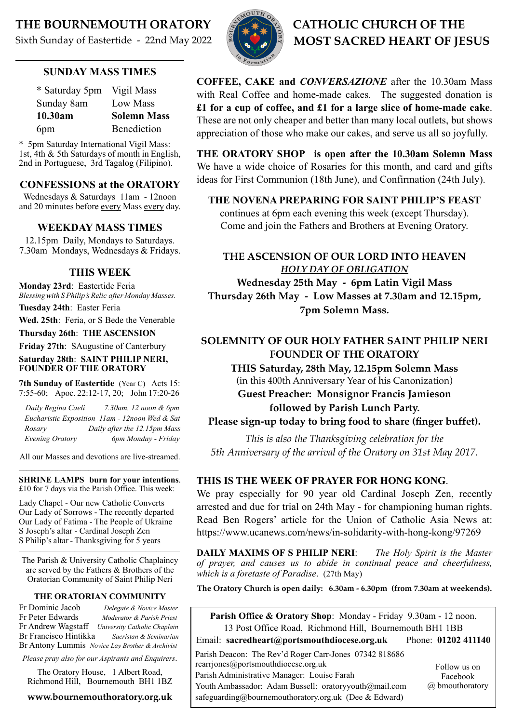# **THE BOURNEMOUTH ORATORY**

Sixth Sunday of Eastertide - 22nd May 2022



# **CATHOLIC CHURCH OF THE MOST SACRED HEART OF JESUS**

### **SUNDAY MASS TIMES**

| * Saturday 5pm | Vigil Mass         |
|----------------|--------------------|
| Sunday 8am     | Low Mass           |
| 10.30am        | <b>Solemn Mass</b> |
| 6pm            | <b>Benediction</b> |

\* 5pm Saturday International Vigil Mass: 1st, 4th & 5th Saturdays of month in English, 2nd in Portuguese, 3rd Tagalog (Filipino).

#### **CONFESSIONS at the ORATORY**

Wednesdays & Saturdays 11am - 12noon and 20 minutes before every Mass every day.

### **WEEKDAY MASS TIMES**

12.15pm Daily, Mondays to Saturdays. 7.30am Mondays, Wednesdays & Fridays.

## **THIS WEEK**

**Monday 23rd**: Eastertide Feria *Blessingwith S Philip's Relic after Monday Masses.* 

**Tuesday 24th**: Easter Feria

**Wed. 25th**: Feria, or S Bede the Venerable

## **Thursday 26th**: **THE ASCENSION**

**Friday 27th**: SAugustine of Canterbury

#### **Saturday 28th**: **SAINT PHILIP NERI, FOUNDER OF THE ORATORY**

**7th Sunday of Eastertide** (Year C) Acts 15: 7:55-60; Apoc. 22:12-17, 20; John 17:20-26

| Daily Regina Caeli | $7.30$ am, 12 noon & 6pm                       |
|--------------------|------------------------------------------------|
|                    | Eucharistic Exposition 11am - 12noon Wed & Sat |
| Rosarv             | Daily after the 12.15pm Mass                   |
| Evening Oratory    | 6pm Monday - Friday                            |

All our Masses and devotions are live-streamed.  $\mathcal{L}_\mathcal{L} = \{ \mathcal{L}_\mathcal{L} = \{ \mathcal{L}_\mathcal{L} = \{ \mathcal{L}_\mathcal{L} = \{ \mathcal{L}_\mathcal{L} = \{ \mathcal{L}_\mathcal{L} = \{ \mathcal{L}_\mathcal{L} = \{ \mathcal{L}_\mathcal{L} = \{ \mathcal{L}_\mathcal{L} = \{ \mathcal{L}_\mathcal{L} = \{ \mathcal{L}_\mathcal{L} = \{ \mathcal{L}_\mathcal{L} = \{ \mathcal{L}_\mathcal{L} = \{ \mathcal{L}_\mathcal{L} = \{ \mathcal{L}_\mathcal{$ 

**SHRINE LAMPS burn for your intentions**. £10 for 7 days via the Parish Office. This week:

Lady Chapel - Our new Catholic Converts Our Lady of Sorrows - The recently departed Our Lady of Fatima - The People of Ukraine S Joseph's altar - Cardinal Joseph Zen S Philip's altar - Thanksgiving for 5 years

The Parish & University Catholic Chaplaincy are served by the Fathers & Brothers of the Oratorian Community of Saint Philip Neri

#### **THE ORATORIAN COMMUNITY**

Fr Dominic Jacob *Delegate & Novice Master*  Fr Peter Edwards *Moderator & Parish Priest*  Fr Andrew Wagstaff *University Catholic Chaplain*  Br Francisco Hintikka *Sacristan & Seminarian*  Br Antony Lummis *Novice Lay Brother & Archivist* 

*Please pray also for our Aspirants and Enquirers*.

The Oratory House, 1 Albert Road, Richmond Hill, Bournemouth BH1 1BZ

**[www.bournemouthoratory.org.uk](http://www.bournemoithoratory.org.uk)**

**COFFEE, CAKE and** *CONVERSAZIONE* after the 10.30am Mass with Real Coffee and home-made cakes. The suggested donation is **£1 for a cup of coffee, and £1 for a large slice of home-made cake**. These are not only cheaper and better than many local outlets, but shows appreciation of those who make our cakes, and serve us all so joyfully.

**THE ORATORY SHOP is open after the 10.30am Solemn Mass** We have a wide choice of Rosaries for this month, and card and gifts ideas for First Communion (18th June), and Confirmation (24th July).

**THE NOVENA PREPARING FOR SAINT PHILIP'S FEAST**  continues at 6pm each evening this week (except Thursday). Come and join the Fathers and Brothers at Evening Oratory.

**THE ASCENSION OF OUR LORD INTO HEAVEN** *HOLY DAY OF OBLIGATION* **Wednesday 25th May - 6pm Latin Vigil Mass Thursday 26th May - Low Masses at 7.30am and 12.15pm, 7pm Solemn Mass.**

# **SOLEMNITY OF OUR HOLY FATHER SAINT PHILIP NERI FOUNDER OF THE ORATORY**

**THIS Saturday, 28th May, 12.15pm Solemn Mass** (in this 400th Anniversary Year of his Canonization) **Guest Preacher: Monsignor Francis Jamieson followed by Parish Lunch Party. Please sign-up today to bring food to share (finger buffet).**

*This is also the Thanksgiving celebration for the 5th Anniversary of the arrival of the Oratory on 31st May 2017.*

#### **THIS IS THE WEEK OF PRAYER FOR HONG KONG**.

We pray especially for 90 year old Cardinal Joseph Zen, recently arrested and due for trial on 24th May - for championing human rights. Read Ben Rogers' article for the Union of Catholic Asia News at: <https://www.ucanews.com/news/in-solidarity-with-hong-kong/97269>

**DAILY MAXIMS OF S PHILIP NERI**: *The Holy Spirit is the Master of prayer, and causes us to abide in continual peace and cheerfulness, which is a foretaste of Paradise*. (27th May)

**The Oratory Church is open daily: 6.30am - 6.30pm (from 7.30am at weekends).**

**Parish Office & Oratory Shop**: Monday - Friday 9.30am - 12 noon. 13 Post Office Road, Richmond Hill, Bournemouth BH1 1BB Email: **[sacredheart@portsmouthdiocese.org.uk](mailto:sacredheart@portsmouthdiocese.org.uk)** Phone: **01202 411140**

Parish Deacon: The Rev'd Roger Carr-Jones 07342 818686 [rcarrjones@portsmouthdiocese.org.uk](mailto:rcarrjones@portsmouthdiocese.org.uk) Parish Administrative Manager: Louise Farah Youth Ambassador: Adam Bussell: [oratoryyouth@mail.com](http://oratoryyouth.mail.com) [safeguarding@bournemouthoratory.org.uk](mailto:safeguarding@bournemouthoratory.org.uk) (Dee & Edward)

Follow us on Facebook @ bmouthoratory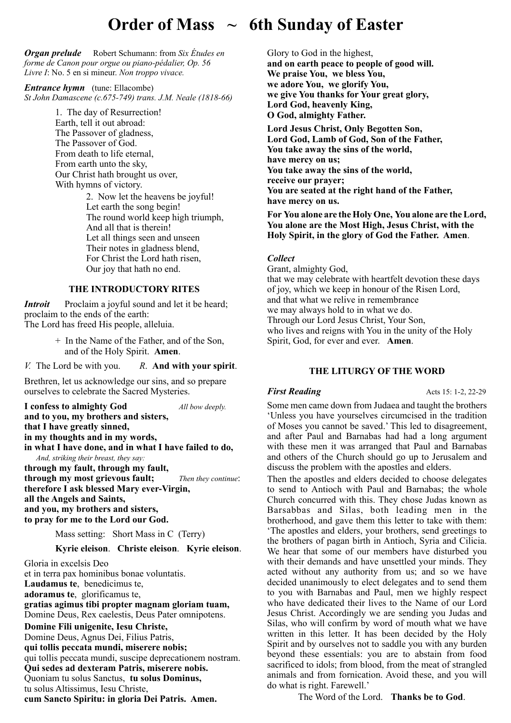# Order of Mass ~ 6th Sunday of Easter

*Organ prelude* Robert Schumann: from *Six Études en forme de Canon pour orgue ou piano-pédalier, Op. 56 Livre I*: No. 5 en si mineur. *Non troppo vivace.*

*Entrance hymn* (tune: Ellacombe) *St John Damascene (c.675-749) trans. J.M. Neale (1818-66)*

> 1. The day of Resurrection! Earth, tell it out abroad: The Passover of gladness, The Passover of God. From death to life eternal, From earth unto the sky, Our Christ hath brought us over, With hymns of victory.

 2. Now let the heavens be joyful! Let earth the song begin! The round world keep high triumph, And all that is therein! Let all things seen and unseen Their notes in gladness blend, For Christ the Lord hath risen, Our joy that hath no end.

#### **THE INTRODUCTORY RITES**

*Introit* Proclaim a joyful sound and let it be heard; proclaim to the ends of the earth: The Lord has freed His people, alleluia.

- + In the Name of the Father, and of the Son, and of the Holy Spirit. **Amen**.
- *V.* The Lord be with you. *R*. **And with your spirit**.

Brethren, let us acknowledge our sins, and so prepare ourselves to celebrate the Sacred Mysteries.

**I confess to almighty God** *All bow deeply.*  **and to you, my brothers and sisters, that I have greatly sinned, in my thoughts and in my words, in what I have done, and in what I have failed to do,**   *And, striking their breast, they say:*  **through my fault, through my fault, through my most grievous fault;** *Then they continue*: **therefore I ask blessed Mary ever-Virgin, all the Angels and Saints, and you, my brothers and sisters, to pray for me to the Lord our God.**  Mass setting: Short Mass in C (Terry)

**Kyrie eleison**. **Christe eleison**. **Kyrie eleison**.

Gloria in excelsis Deo et in terra pax hominibus bonae voluntatis. **Laudamus te**, benedicimus te, **adoramus te**, glorificamus te, **gratias agimus tibi propter magnam gloriam tuam,**  Domine Deus, Rex caelestis, Deus Pater omnipotens. **Domine Fili unigenite, Iesu Christe,**  Domine Deus, Agnus Dei, Filius Patris, **qui tollis peccata mundi, miserere nobis;**  qui tollis peccata mundi, suscipe deprecationem nostram. **Qui sedes ad dexteram Patris, miserere nobis.**  Quoniam tu solus Sanctus, **tu solus Dominus,**  tu solus Altissimus, Iesu Christe, **cum Sancto Spiritu: in gloria Dei Patris. Amen.** 

Glory to God in the highest,

**and on earth peace to people of good will. We praise You, we bless You, we adore You, we glorify You, we give You thanks for Your great glory, Lord God, heavenly King, O God, almighty Father.** 

**Lord Jesus Christ, Only Begotten Son, Lord God, Lamb of God, Son of the Father, You take away the sins of the world, have mercy on us; You take away the sins of the world, receive our prayer; You are seated at the right hand of the Father, have mercy on us.** 

**For You alone are the Holy One, You alone are theLord, You alone are the Most High, Jesus Christ, with the Holy Spirit, in the glory of God the Father. Amen**.

#### *Collect*

Grant, almighty God, that we may celebrate with heartfelt devotion these days of joy, which we keep in honour of the Risen Lord, and that what we relive in remembrance we may always hold to in what we do. Through our Lord Jesus Christ, Your Son, who lives and reigns with You in the unity of the Holy Spirit, God, for ever and ever. **Amen**.

#### **THE LITURGY OF THE WORD**

*First Reading* Acts 15: 1-2, 22-29

Some men came down from Judaea and taught the brothers 'Unless you have yourselves circumcised in the tradition of Moses you cannot be saved.' This led to disagreement, and after Paul and Barnabas had had a long argument with these men it was arranged that Paul and Barnabas and others of the Church should go up to Jerusalem and discuss the problem with the apostles and elders.

Then the apostles and elders decided to choose delegates to send to Antioch with Paul and Barnabas; the whole Church concurred with this. They chose Judas known as Barsabbas and Silas, both leading men in the brotherhood, and gave them this letter to take with them: 'The apostles and elders, your brothers, send greetings to the brothers of pagan birth in Antioch, Syria and Cilicia. We hear that some of our members have disturbed you with their demands and have unsettled your minds. They acted without any authority from us; and so we have decided unanimously to elect delegates and to send them to you with Barnabas and Paul, men we highly respect who have dedicated their lives to the Name of our Lord Jesus Christ. Accordingly we are sending you Judas and Silas, who will confirm by word of mouth what we have written in this letter. It has been decided by the Holy Spirit and by ourselves not to saddle you with any burden beyond these essentials: you are to abstain from food sacrificed to idols; from blood, from the meat of strangled animals and from fornication. Avoid these, and you will do what is right. Farewell.'

The Word of the Lord. **Thanks be to God**.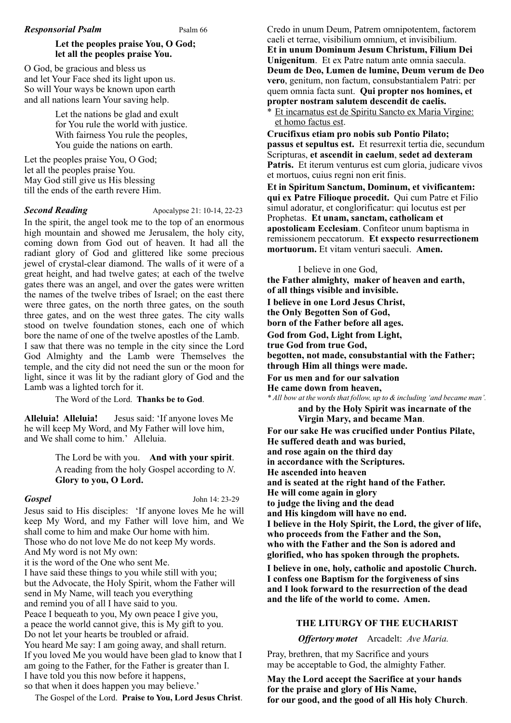#### *Responsorial Psalm* Psalm 66

#### **Let the peoples praise You, O God; let all the peoples praise You.**

O God, be gracious and bless us and let Your Face shed its light upon us. So will Your ways be known upon earth and all nations learn Your saving help.

> Let the nations be glad and exult for You rule the world with justice. With fairness You rule the peoples, You guide the nations on earth.

Let the peoples praise You, O God; let all the peoples praise You. May God still give us His blessing till the ends of the earth revere Him.

**Second Reading Apocalypse 21: 10-14, 22-23** 

In the spirit, the angel took me to the top of an enormous high mountain and showed me Jerusalem, the holy city, coming down from God out of heaven. It had all the radiant glory of God and glittered like some precious jewel of crystal-clear diamond. The walls of it were of a great height, and had twelve gates; at each of the twelve gates there was an angel, and over the gates were written the names of the twelve tribes of Israel; on the east there were three gates, on the north three gates, on the south three gates, and on the west three gates. The city walls stood on twelve foundation stones, each one of which bore the name of one of the twelve apostles of the Lamb. I saw that there was no temple in the city since the Lord God Almighty and the Lamb were Themselves the temple, and the city did not need the sun or the moon for light, since it was lit by the radiant glory of God and the Lamb was a lighted torch for it.

The Word of the Lord. **Thanks be to God**.

**Alleluia! Alleluia!** Jesus said: 'If anyone loves Me he will keep My Word, and My Father will love him, and We shall come to him.' Alleluia.

> The Lord be with you. **And with your spirit**. A reading from the holy Gospel according to *N*. **Glory to you, O Lord.**

*Gospel* John 14: 23-29

Jesus said to His disciples: 'If anyone loves Me he will keep My Word, and my Father will love him, and We shall come to him and make Our home with him. Those who do not love Me do not keep My words. And My word is not My own: it is the word of the One who sent Me.

I have said these things to you while still with you; but the Advocate, the Holy Spirit, whom the Father will send in My Name, will teach you everything and remind you of all I have said to you. Peace I bequeath to you, My own peace I give you, a peace the world cannot give, this is My gift to you. Do not let your hearts be troubled or afraid. You heard Me say: I am going away, and shall return. If you loved Me you would have been glad to know that I am going to the Father, for the Father is greater than I. I have told you this now before it happens, so that when it does happen you may believe.'

The Gospel of the Lord. **Praise to You, Lord Jesus Christ**.

Credo in unum Deum, Patrem omnipotentem, factorem caeli et terrae, visibilium omnium, et invisibilium. **Et in unum Dominum Jesum Christum, Filium Dei Unigenitum**. Et ex Patre natum ante omnia saecula. **Deum de Deo, Lumen de lumine, Deum verum de Deo vero**, genitum, non factum, consubstantialem Patri: per quem omnia facta sunt. **Qui propter nos homines, et propter nostram salutem descendit de caelis.**

\* Et incarnatus est de Spiritu Sancto ex Maria Virgine: et homo factus est.

**Crucifixus etiam pro nobis sub Pontio Pilato; passus et sepultus est.** Et resurrexit tertia die, secundum Scripturas, **et ascendit in caelum**, **sedet ad dexteram**  Patris. Et iterum venturus est cum gloria, judicare vivos et mortuos, cuius regni non erit finis.

**Et in Spiritum Sanctum, Dominum, et vivificantem: qui ex Patre Filioque procedit.** Qui cum Patre et Filio simul adoratur, et conglorificatur: qui locutus est per Prophetas. **Et unam, sanctam, catholicam et apostolicam Ecclesiam**. Confiteor unum baptisma in remissionem peccatorum. **Et exspecto resurrectionem mortuorum.** Et vitam venturi saeculi. **Amen.**

I believe in one God,

**the Father almighty, maker of heaven and earth, of all things visible and invisible. I believe in one Lord Jesus Christ, the Only Begotten Son of God, born of the Father before all ages. God from God, Light from Light, true God from true God, begotten, not made, consubstantial with the Father; through Him all things were made. For us men and for our salvation He came down from heaven,**  *\* All bow at the words that follow, up to & including 'and became man'.*  **and by the Holy Spirit was incarnate of the Virgin Mary, and became Man**. **For our sake He was crucified under Pontius Pilate, He suffered death and was buried, and rose again on the third day in accordance with the Scriptures. He ascended into heaven and is seated at the right hand of the Father. He will come again in glory to judge the living and the dead and His kingdom will have no end. I believe in the Holy Spirit, the Lord, the giver of life, who proceeds from the Father and the Son, who with the Father and the Son is adored and glorified, who has spoken through the prophets.** 

**I believe in one, holy, catholic and apostolic Church. I confess one Baptism for the forgiveness of sins and I look forward to the resurrection of the dead and the life of the world to come. Amen.** 

#### **THE LITURGY OF THE EUCHARIST**

*Offertory motet* Arcadelt: *Ave Maria.*

Pray, brethren, that my Sacrifice and yours may be acceptable to God, the almighty Father.

**May the Lord accept the Sacrifice at your hands for the praise and glory of His Name, for our good, and the good of all His holy Church**.